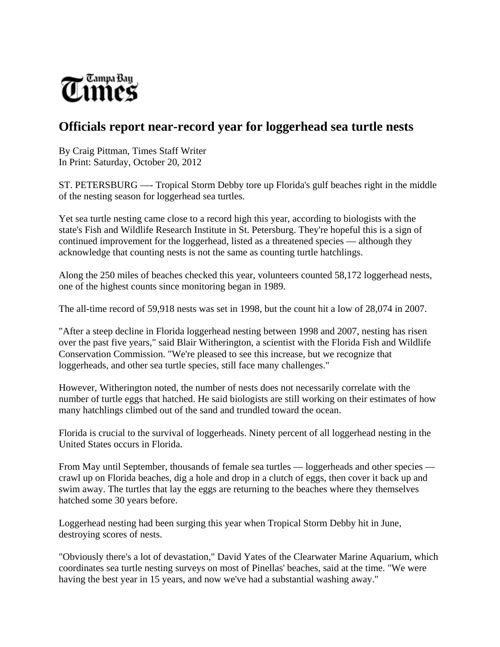

## **Officials report near-record year for loggerhead sea turtle nests**

By Craig Pittman, Times Staff Writer In Print: Saturday, October 20, 2012

ST. PETERSBURG —- Tropical Storm Debby tore up Florida's gulf beaches right in the middle of the nesting season for loggerhead sea turtles.

Yet sea turtle nesting came close to a record high this year, according to biologists with the state's Fish and Wildlife Research Institute in St. Petersburg. They're hopeful this is a sign of continued improvement for the loggerhead, listed as a threatened species — although they acknowledge that counting nests is not the same as counting turtle hatchlings.

Along the 250 miles of beaches checked this year, volunteers counted 58,172 loggerhead nests, one of the highest counts since monitoring began in 1989.

The all-time record of 59,918 nests was set in 1998, but the count hit a low of 28,074 in 2007.

"After a steep decline in Florida loggerhead nesting between 1998 and 2007, nesting has risen over the past five years," said Blair Witherington, a scientist with the Florida Fish and Wildlife Conservation Commission. "We're pleased to see this increase, but we recognize that loggerheads, and other sea turtle species, still face many challenges."

However, Witherington noted, the number of nests does not necessarily correlate with the number of turtle eggs that hatched. He said biologists are still working on their estimates of how many hatchlings climbed out of the sand and trundled toward the ocean.

Florida is crucial to the survival of loggerheads. Ninety percent of all loggerhead nesting in the United States occurs in Florida.

From May until September, thousands of female sea turtles — loggerheads and other species crawl up on Florida beaches, dig a hole and drop in a clutch of eggs, then cover it back up and swim away. The turtles that lay the eggs are returning to the beaches where they themselves hatched some 30 years before.

Loggerhead nesting had been surging this year when Tropical Storm Debby hit in June, destroying scores of nests.

"Obviously there's a lot of devastation," David Yates of the Clearwater Marine Aquarium, which coordinates sea turtle nesting surveys on most of Pinellas' beaches, said at the time. "We were having the best year in 15 years, and now we've had a substantial washing away."